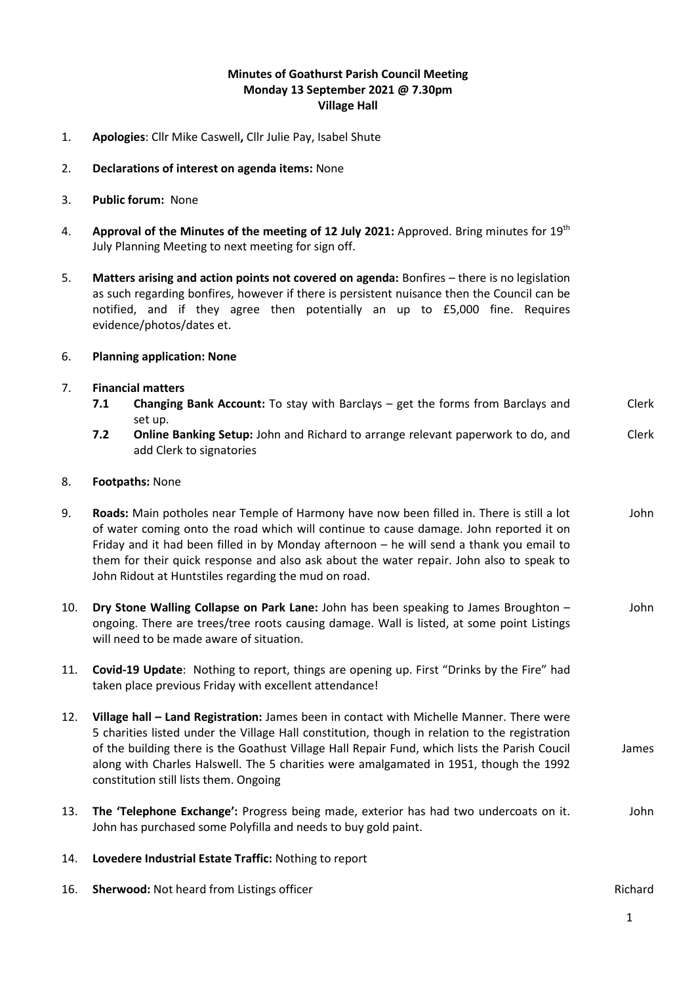## **Minutes of Goathurst Parish Council Meeting Monday 13 September 2021 @ 7.30pm Village Hall**

- 1. **Apologies**: Cllr Mike Caswell**,** Cllr Julie Pay, Isabel Shute
- 2. **Declarations of interest on agenda items:** None
- 3. **Public forum:** None
- 4. **Approval of the Minutes of the meeting of 12 July 2021:** Approved. Bring minutes for 19<sup>th</sup> July Planning Meeting to next meeting for sign off.
- 5. **Matters arising and action points not covered on agenda:** Bonfires there is no legislation as such regarding bonfires, however if there is persistent nuisance then the Council can be notified, and if they agree then potentially an up to £5,000 fine. Requires evidence/photos/dates et.

## 6. **Planning application: None**

- 7. **Financial matters**
	- **7.1 Changing Bank Account:** To stay with Barclays get the forms from Barclays and set up. Clerk
	- **7.2 Online Banking Setup:** John and Richard to arrange relevant paperwork to do, and add Clerk to signatories Clerk

## 8. **Footpaths:** None

- 9. **Roads:** Main potholes near Temple of Harmony have now been filled in. There is still a lot of water coming onto the road which will continue to cause damage. John reported it on Friday and it had been filled in by Monday afternoon – he will send a thank you email to them for their quick response and also ask about the water repair. John also to speak to John Ridout at Huntstiles regarding the mud on road. John
- 10. **Dry Stone Walling Collapse on Park Lane:** John has been speaking to James Broughton ongoing. There are trees/tree roots causing damage. Wall is listed, at some point Listings will need to be made aware of situation. John
- 11. **Covid-19 Update**: Nothing to report, things are opening up. First "Drinks by the Fire" had taken place previous Friday with excellent attendance!
- 12. **Village hall – Land Registration:** James been in contact with Michelle Manner. There were 5 charities listed under the Village Hall constitution, though in relation to the registration of the building there is the Goathust Village Hall Repair Fund, which lists the Parish Coucil along with Charles Halswell. The 5 charities were amalgamated in 1951, though the 1992 constitution still lists them. Ongoing James
- 13. **The 'Telephone Exchange':** Progress being made, exterior has had two undercoats on it. John has purchased some Polyfilla and needs to buy gold paint. John
- 14. **Lovedere Industrial Estate Traffic:** Nothing to report
- 16. **Sherwood:** Not heard from Listings officer Richard Richard Richard Richard